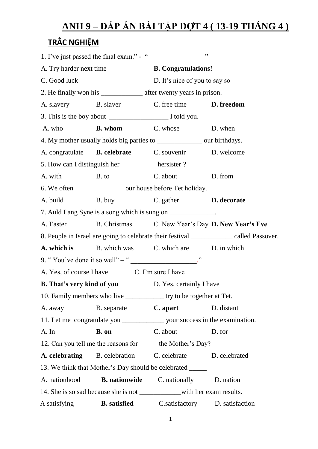## <u>ANH 9 – ĐÁP ÁN BÀI TẬP ĐỢT 4 (13-19 THÁNG 4 )</u>

## **TRẮC NGHIỆM**

|                                                                             | 1. I've just passed the final exam." - "                                     |                               | , ,                                                                                    |
|-----------------------------------------------------------------------------|------------------------------------------------------------------------------|-------------------------------|----------------------------------------------------------------------------------------|
| A. Try harder next time                                                     |                                                                              | <b>B.</b> Congratulations!    |                                                                                        |
| C. Good luck                                                                |                                                                              | D. It's nice of you to say so |                                                                                        |
|                                                                             | 2. He finally won his _______________________ after twenty years in prison.  |                               |                                                                                        |
| A. slavery                                                                  | B. slaver                                                                    | C. free time                  | D. freedom                                                                             |
|                                                                             |                                                                              |                               |                                                                                        |
| A. who                                                                      | <b>B.</b> whom                                                               | C. whose                      | D. when                                                                                |
|                                                                             | 4. My mother usually holds big parties to _____________ our birthdays.       |                               |                                                                                        |
|                                                                             | A. congratulate <b>B. celebrate</b> C. souvenir                              |                               | D. welcome                                                                             |
|                                                                             | 5. How can I distinguish her __________ hersister ?                          |                               |                                                                                        |
| A. with                                                                     | B. to                                                                        | C. about                      | D. from                                                                                |
|                                                                             | 6. We often _________________ our house before Tet holiday.                  |                               |                                                                                        |
| A. build                                                                    | B. buy                                                                       | C. gather <b>D. decorate</b>  |                                                                                        |
|                                                                             | 7. Auld Lang Syne is a song which is sung on ____________.                   |                               |                                                                                        |
| A. Easter                                                                   |                                                                              |                               | B. Christmas C. New Year's Day D. New Year's Eve                                       |
|                                                                             |                                                                              |                               | 8. People in Israel are going to celebrate their festival ___________ called Passover. |
|                                                                             | <b>A. which is</b> B. which was C. which are D. in which                     |                               |                                                                                        |
|                                                                             | 9. "You've done it so well" – "                                              |                               |                                                                                        |
|                                                                             | A. Yes, of course I have C. I'm sure I have                                  |                               |                                                                                        |
| <b>B.</b> That's very kind of you                                           |                                                                              | D. Yes, certainly I have      |                                                                                        |
|                                                                             | 10. Family members who live ______________ try to be together at Tet.        |                               |                                                                                        |
| A. away                                                                     | B. separate C. apart D. distant                                              |                               |                                                                                        |
|                                                                             | 11. Let me congratulate you _______________ your success in the examination. |                               |                                                                                        |
| A. In                                                                       | B. on                                                                        | C. about D. for               |                                                                                        |
|                                                                             | 12. Can you tell me the reasons for _______ the Mother's Day?                |                               |                                                                                        |
|                                                                             | A. celebrating B. celebration C. celebrate D. celebrated                     |                               |                                                                                        |
|                                                                             | 13. We think that Mother's Day should be celebrated ____                     |                               |                                                                                        |
|                                                                             | A. nationhood <b>B. nationwide</b> C. nationally                             |                               | D. nation                                                                              |
| 14. She is so sad because she is not ________________with her exam results. |                                                                              |                               |                                                                                        |
|                                                                             | A satisfying <b>B. satisfied</b> C. satisfactory D. satisfaction             |                               |                                                                                        |